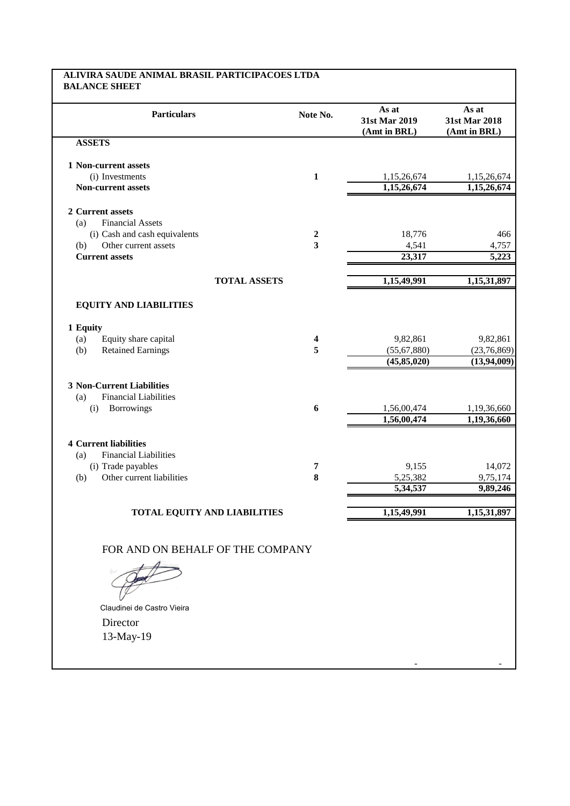## **ALIVIRA SAUDE ANIMAL BRASIL PARTICIPACOES LTDA BALANCE SHEET**

| <b>Particulars</b>                                                                           | Note No. | As at<br>31st Mar 2019<br>(Amt in BRL)  | As at<br>31st Mar 2018<br>(Amt in BRL) |
|----------------------------------------------------------------------------------------------|----------|-----------------------------------------|----------------------------------------|
| <b>ASSETS</b>                                                                                |          |                                         |                                        |
| 1 Non-current assets                                                                         |          |                                         |                                        |
| (i) Investments                                                                              | 1        | 1,15,26,674                             | 1,15,26,674                            |
| <b>Non-current assets</b>                                                                    |          | 1,15,26,674                             | 1,15,26,674                            |
| 2 Current assets                                                                             |          |                                         |                                        |
| <b>Financial Assets</b><br>(a)                                                               |          |                                         |                                        |
| (i) Cash and cash equivalents                                                                | 2        | 18,776                                  | 466                                    |
| Other current assets<br>(b)                                                                  | 3        | 4,541                                   | 4,757                                  |
| <b>Current assets</b>                                                                        |          | 23,317                                  | 5,223                                  |
| <b>TOTAL ASSETS</b>                                                                          |          | 1,15,49,991                             | 1,15,31,897                            |
| <b>EQUITY AND LIABILITIES</b><br>1 Equity<br>Equity share capital<br>(a)                     | 4        | 9,82,861                                | 9,82,861                               |
| <b>Retained Earnings</b><br>(b)                                                              | 5        | (55, 67, 880)                           | (23,76,869)                            |
|                                                                                              |          | (45, 85, 020)                           | (13, 94, 009)                          |
| <b>3 Non-Current Liabilities</b><br><b>Financial Liabilities</b><br>(a)<br>Borrowings<br>(i) | 6        | 1,56,00,474<br>$1,\overline{56,00,474}$ | 1,19,36,660<br>1,19,36,660             |
|                                                                                              |          |                                         |                                        |
| <b>4 Current liabilities</b><br><b>Financial Liabilities</b><br>(a)                          |          |                                         |                                        |
| (i) Trade payables                                                                           | 7        | 9,155                                   | 14,072                                 |
| Other current liabilities<br>(b)                                                             | 8        | 5,25,382                                | 9,75,174                               |
|                                                                                              |          | 5,34,537                                | 9,89,246                               |
| <b>TOTAL EQUITY AND LIABILITIES</b>                                                          |          | 1,15,49,991                             | 1,15,31,897                            |
| FOR AND ON BEHALF OF THE COMPANY                                                             |          |                                         |                                        |

- -

Director 13-May-19 Claudinei de Castro Vieira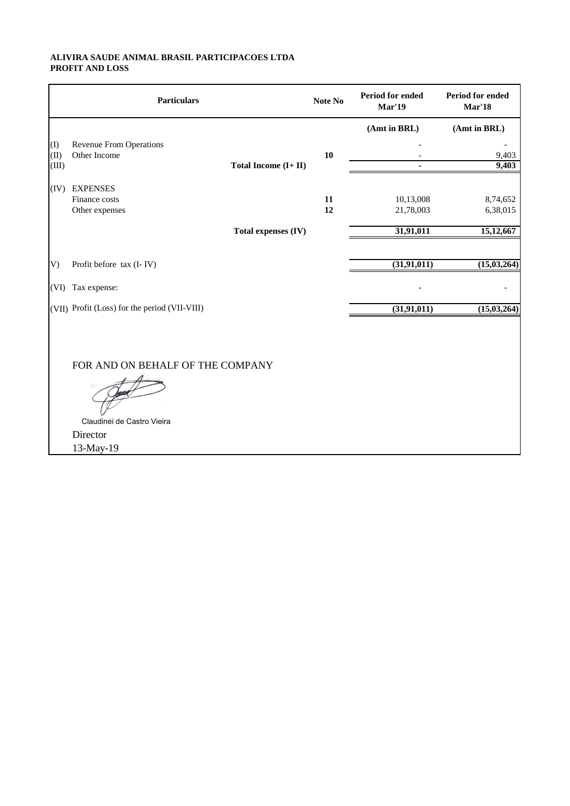## **ALIVIRA SAUDE ANIMAL BRASIL PARTICIPACOES LTDA PROFIT AND LOSS**

|           | <b>Particulars</b>                            |                      | Note No | Period for ended<br><b>Mar'19</b> | <b>Period for ended</b><br>Mar'18 |
|-----------|-----------------------------------------------|----------------------|---------|-----------------------------------|-----------------------------------|
|           |                                               |                      |         | (Amt in BRL)                      | (Amt in BRL)                      |
| $\rm (I)$ | <b>Revenue From Operations</b>                |                      |         |                                   |                                   |
| (II)      | Other Income                                  |                      | 10      |                                   | 9,403                             |
| (III)     |                                               | Total Income (I+ II) |         |                                   | 9,403                             |
| (IV)      | <b>EXPENSES</b>                               |                      |         |                                   |                                   |
|           | Finance costs                                 |                      | 11      | 10,13,008                         | 8,74,652                          |
|           | Other expenses                                |                      | 12      | 21,78,003                         | 6,38,015                          |
|           |                                               | Total expenses (IV)  |         | 31,91,011                         | 15,12,667                         |
|           |                                               |                      |         |                                   |                                   |
| V)        | Profit before tax (I-IV)                      |                      |         | (31, 91, 011)                     | $\overline{(15,03,264)}$          |
| (VI)      | Tax expense:                                  |                      |         |                                   |                                   |
|           | (VII) Profit (Loss) for the period (VII-VIII) |                      |         | (31, 91, 011)                     | (15, 03, 264)                     |
|           |                                               |                      |         |                                   |                                   |
|           | FOR AND ON BEHALF OF THE COMPANY              |                      |         |                                   |                                   |
|           |                                               |                      |         |                                   |                                   |
|           | Claudinei de Castro Vieira<br>Director        |                      |         |                                   |                                   |
|           |                                               |                      |         |                                   |                                   |
|           | 13-May-19                                     |                      |         |                                   |                                   |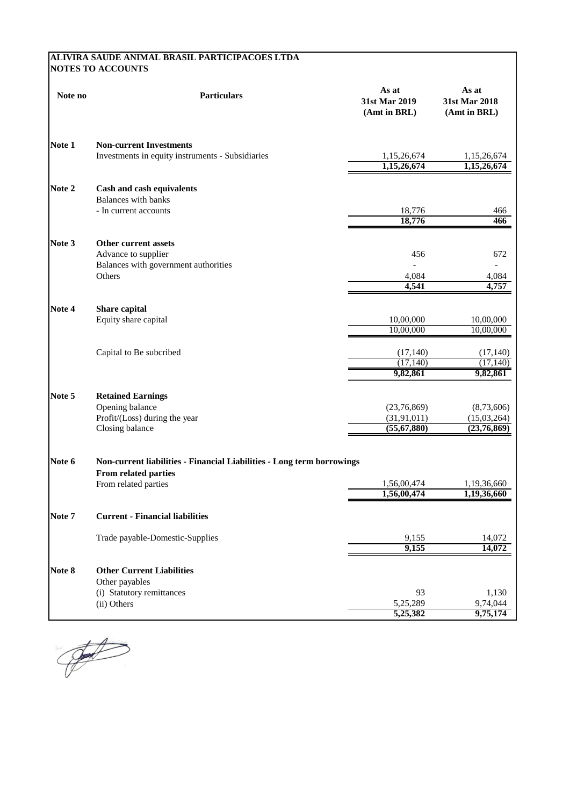## **ALIVIRA SAUDE ANIMAL BRASIL PARTICIPACOES LTDA NOTES TO ACCOUNTS**

| Note no | <b>Particulars</b>                                                     | As at<br>31st Mar 2019<br>(Amt in BRL) | As at<br>31st Mar 2018<br>(Amt in BRL) |
|---------|------------------------------------------------------------------------|----------------------------------------|----------------------------------------|
| Note 1  | <b>Non-current Investments</b>                                         |                                        |                                        |
|         | Investments in equity instruments - Subsidiaries                       | 1,15,26,674<br>1,15,26,674             | 1,15,26,674<br>1,15,26,674             |
| Note 2  | Cash and cash equivalents<br><b>Balances with banks</b>                |                                        |                                        |
|         | - In current accounts                                                  | 18,776<br>18,776                       | 466<br>466                             |
| Note 3  | Other current assets                                                   |                                        |                                        |
|         | Advance to supplier                                                    | 456                                    | 672                                    |
|         | Balances with government authorities                                   |                                        |                                        |
|         | Others                                                                 | 4,084<br>4,541                         | 4,084<br>4,757                         |
| Note 4  | Share capital                                                          |                                        |                                        |
|         | Equity share capital                                                   | 10,00,000<br>10,00,000                 | 10,00,000<br>10,00,000                 |
|         | Capital to Be subcribed                                                | (17, 140)                              | (17, 140)                              |
|         |                                                                        | (17, 140)                              | (17, 140)                              |
|         |                                                                        | 9,82,861                               | 9,82,861                               |
| Note 5  | <b>Retained Earnings</b>                                               |                                        |                                        |
|         | Opening balance                                                        | (23,76,869)                            | (8,73,606)                             |
|         | Profit/(Loss) during the year<br>Closing balance                       | (31, 91, 011)<br>(55, 67, 880)         | (15,03,264)<br>(23,76,869)             |
| Note 6  | Non-current liabilities - Financial Liabilities - Long term borrowings |                                        |                                        |
|         | From related parties                                                   |                                        |                                        |
|         | From related parties                                                   | 1,56,00,474                            | 1,19,36,660                            |
|         |                                                                        | 1,56,00,474                            | 1,19,36,660                            |
| Note 7  | <b>Current - Financial liabilities</b>                                 |                                        |                                        |
|         | Trade payable-Domestic-Supplies                                        | 9,155                                  | 14,072                                 |
|         |                                                                        | 9,155                                  | 14,072                                 |
| Note 8  | <b>Other Current Liabilities</b>                                       |                                        |                                        |
|         | Other payables                                                         |                                        |                                        |
|         | (i) Statutory remittances<br>(ii) Others                               | 93<br>5,25,289                         | 1,130<br>9,74,044                      |
|         |                                                                        | 5,25,382                               | 9,75,174                               |